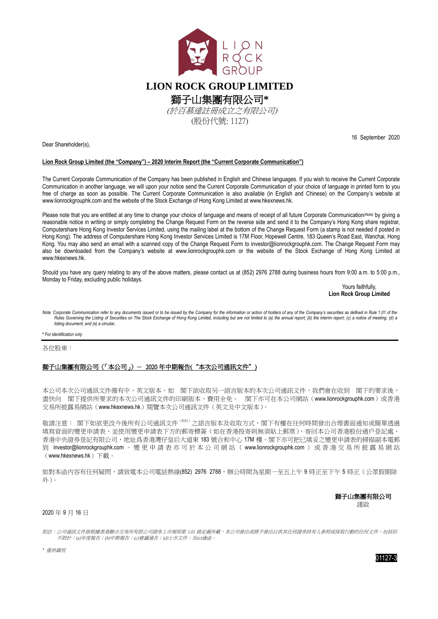

Dear Shareholder(s),

16 September 2020

## **Lion Rock Group Limited (the "Company") – 2020 Interim Report (the "Current Corporate Communication")**

The Current Corporate Communication of the Company has been published in English and Chinese languages. If you wish to receive the Current Corporate Communication in another language, we will upon your notice send the Current Corporate Communication of your choice of language in printed form to you free of charge as soon as possible. The Current Corporate Communication is also available (in English and Chinese) on the Company's website at www.lionrockgrouphk.com and the website of the Stock Exchange of Hong Kong Limited a[t www.hkexnews.hk.](http://www.hkexnews.hk/)

Please note that you are entitled at any time to change your choice of language and means of receipt of all future Corporate Communication<sup>(Note)</sup> by giving a reasonable notice in writing or simply completing the Change Request Form on the reverse side and send it to the Company's Hong Kong share registrar, Computershare Hong Kong Investor Services Limited, using the mailing label at the bottom of the Change Request Form (a stamp is not needed if posted in Hong Kong). The address of Computershare Hong Kong Investor Services Limited is 17M Floor, Hopewell Centre, 183 Queen's Road East, Wanchai, Hong Kong. You may also send an email with a scanned copy of the Change Request Form to [investor@lionrockgrouphk.com.](mailto:investor@lionrockgrouphk.com) The Change Request Form may also be downloaded from the Company's website at www.lionrockgrouphk.com or the website of the Stock Exchange of Hong Kong Limited at [www.hkexnews.hk.](http://www.hkexnews.hk/)

Should you have any query relating to any of the above matters, please contact us at (852) 2976 2788 during business hours from 9:00 a.m. to 5:00 p.m., Monday to Friday, excluding public holidays.

Yours faithfully. **Lion Rock Group Limited**

.<br>Note: Corporate Communication refer to any documents issued or to be issued by the Company for the information or action of holders of any of the Company's securities as defined in Rule 1.01 of the Separato construction of the Stock Exchange of Hong Kong Limited, including but are not limited to (a) the annual report; (b) the interim report; (c) a notice of meeting; (d) a notice of meeting; (d) a notice of meeting; ( *listing document; and (e) a circular..*

**\*** *For identification only*

各位股東:

## 獅子山集團有限公司(「本公司」)- 2020年中期報告("本次公司通訊文件")

本公司本次公司通訊文件備有中、英文版本。如 閣下欲收取另一語言版本的本次公司通訊文件,我們會在收到 閣下的要求後, 盡快向 閣下提供所要求的本次公司通訊文件的印刷版本,費用全免。 閣下亦可在本公司網站([www.lionrockgrouphk.com](http://www.shanshuigroup.com）中「投資者關係))或香港 交易所披露易網站([www.hkexnews.hk](http://www.hkexnews.hk/))閱覽本次公司通訊文件(英文及中文版本)。

敬請注意: 閣下如欲更改今後所有公司通訊文件 <sup>(附註)</sup>之語言版本及收取方式,閣下有權在任何時間發出合理書面通知或簡單透過 填寫背面的變更申請表,並使用變更申請表下方的郵寄標簽(如在香港投寄則無須貼上郵票),寄回本公司香港股份過戶登記處, 香港中央證券登記有限公司,地址爲香港灣仔皇后大道東 183 號合和中心 17M 樓。閣下亦可把已填妥之變更申請表的掃描副本電郵 到 [investor@lionrockgrouphk.com](mailto:investor@lionrockgrouphk.com) 。 變 更申請表亦可 於 本 公 司 網 站 ( www.lionrockgrouphk.com ) 或香港交易所披露易網站 ([www.hkexnews.hk](http://www.hkexnews.hk/))下載。

如對本函內容有任何疑問,請致電本公司電話熱線(852) 2976 2788,辦公時間為星期一至五上午9時正至下午5時正(公眾假期除 外)。

> 獅子山集團有限公司 謹啟

## 2020 年 9 月 16 日

附註:公司通訊文件指根據香港聯合交易所有限公司證券上市規則第 1.01 條定義所載,本公司發出或將予發出以供其任何證券持有人參照或採取行動的任何文件,包括但 不限於:(a)年度報告;(b)中期報告;(c)會議通告;(d)上市文件;及(e)通函。

*\** 僅供識別

01127-3